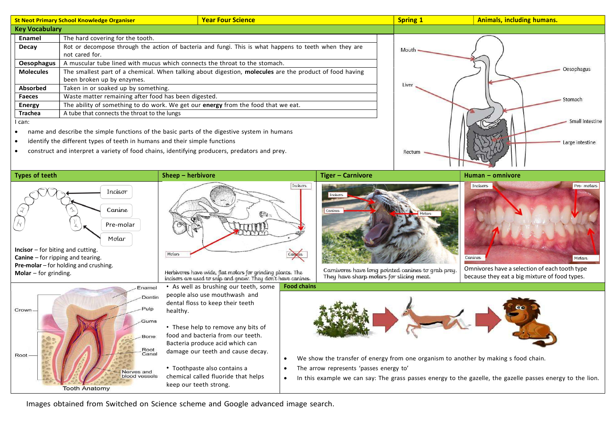| <b>St Neot Primary School Knowledge Organiser</b>                                                     |                                                                                   | <b>Year Four Science</b>                                                                                | <b>Spring 1</b>                | <b>Animals, including humans.</b> |
|-------------------------------------------------------------------------------------------------------|-----------------------------------------------------------------------------------|---------------------------------------------------------------------------------------------------------|--------------------------------|-----------------------------------|
| <b>Key Vocabulary</b>                                                                                 |                                                                                   |                                                                                                         |                                |                                   |
| Enamel                                                                                                | The hard covering for the tooth.                                                  |                                                                                                         |                                |                                   |
| Decay                                                                                                 | not cared for.                                                                    | Rot or decompose through the action of bacteria and fungi. This is what happens to teeth when they are  | Mouth -<br>Oesophagus<br>Liver |                                   |
| <b>Oesophagus</b>                                                                                     | A muscular tube lined with mucus which connects the throat to the stomach.        |                                                                                                         |                                |                                   |
| <b>Molecules</b>                                                                                      | been broken up by enzymes.                                                        | The smallest part of a chemical. When talking about digestion, molecules are the product of food having |                                |                                   |
| Absorbed                                                                                              | Taken in or soaked up by something.                                               |                                                                                                         |                                |                                   |
| <b>Faeces</b>                                                                                         | Waste matter remaining after food has been digested.                              |                                                                                                         |                                | Stomach                           |
| <b>Energy</b>                                                                                         | The ability of something to do work. We get our energy from the food that we eat. |                                                                                                         |                                |                                   |
| Trachea                                                                                               | A tube that connects the throat to the lungs                                      |                                                                                                         |                                |                                   |
| I can:<br>name and describe the simple functions of the basic parts of the digestive system in humans |                                                                                   |                                                                                                         |                                | Small intestine                   |

identify the different types of teeth in humans and their simple functions

Incisor

Canine

construct and interpret a variety of food chains, identifying producers, predators and prey.

Enamel Dentin Pulp

Gums

Bone Root Canal

Nerves and blood vessels

Pre-molar Molar Incisor – for biting and cutting. Canine – for ripping and tearing. Pre-molar – for holding and crushing.

**Tooth Anatomy** 

**Molar** – for grinding.

Crown

Root



Herbivores have wide, flat molars for grinding plants. The<br>incisors are used to snip and gnaw. They don't have canines.

• As well as brushing our teeth, some people also use mouthwash and dental floss to keep their teeth healthy.

• These help to remove any bits of food and bacteria from our teeth. Bacteria produce acid which can damage our teeth and cause decay.

• Toothpaste also contains a  $\vert \cdot \vert$ chemical called fluoride that helps  $\|\bullet\|$ keep our teeth strong.



Rectum

Carnivores have long pointed canines to grab prey. They have sharp molars for slicing meat.

**Incisors** Pre-molars Canines Molars

Large intestine

Omnivores have a selection of each tooth type because they eat a big mixture of food types.



- We show the transfer of energy from one organism to another by making s food chain.
- The arrow represents 'passes energy to'
- In this example we can say: The grass passes energy to the gazelle, the gazelle passes energy to the lion.

Images obtained from Switched on Science scheme and Google advanced image search.